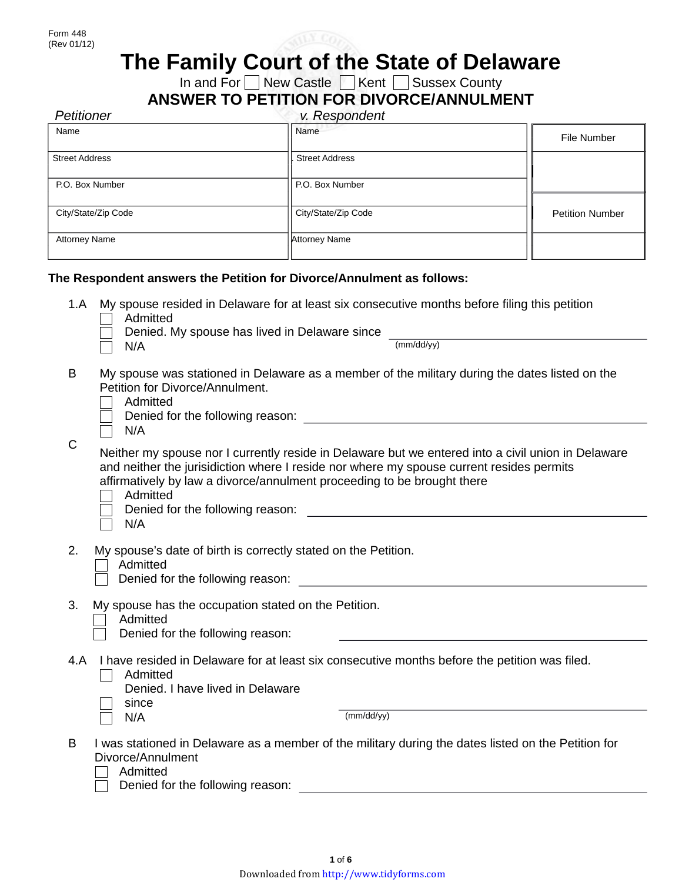

# **The Family Court of the State of Delaware**

In and For  $\Box$  New Castle  $\Box$  Kent  $\Box$  Sussex County

| <b>Petitioner</b>     | v. Respondent                                                                                 |                        |
|-----------------------|-----------------------------------------------------------------------------------------------|------------------------|
| Name                  | Name                                                                                          | File Number            |
| <b>Street Address</b> | <b>Street Address</b>                                                                         |                        |
| P.O. Box Number       | P.O. Box Number                                                                               |                        |
|                       |                                                                                               |                        |
| City/State/Zip Code   | City/State/Zip Code                                                                           | <b>Petition Number</b> |
| <b>Attorney Name</b>  | <b>Attorney Name</b>                                                                          |                        |
|                       | The Respondent answers the Petition for Divorce/Annulment as follows:                         |                        |
| 1.A                   | My spouse resided in Delaware for at least six consecutive months before filing this petition |                        |

- Admitted
	- Denied. My spouse has lived in Delaware since
- $N/A$  (mm/dd/yy)

- B My spouse was stationed in Delaware as a member of the military during the dates listed on the Petition for Divorce/Annulment.
	- $\Box$  Admitted
	- Denied for the following reason:  $\Box$
	- $\Box$  N/A

 $\overline{C}$ 

Neither my spouse nor I currently reside in Delaware but we entered into a civil union in Delaware and neither the jurisidiction where I reside nor where my spouse current resides permits affirmatively by law a divorce/annulment proceeding to be brought there

- Admitted
- Denied for the following reason:  $\Box$
- $\Box$  N/A
- 2. My spouse's date of birth is correctly stated on the Petition.
	- | **1** Admitted
	- Denied for the following reason: The contract of the contract of the contract of the contract of the contract of the contract of the contract of the contract of the contract of the contract of the contract of the contract
- 3. My spouse has the occupation stated on the Petition.
	- Admitted
		- Denied for the following reason:
- 4.A I have resided in Delaware for at least six consecutive months before the petition was filed.
	- $\Box$  Admitted
		- Denied. I have lived in Delaware
		- since

N/A (mm/dd/yy)

- B I was stationed in Delaware as a member of the military during the dates listed on the Petition for Divorce/Annulment
	- $\Box$  Admitted
		- Denied for the following reason: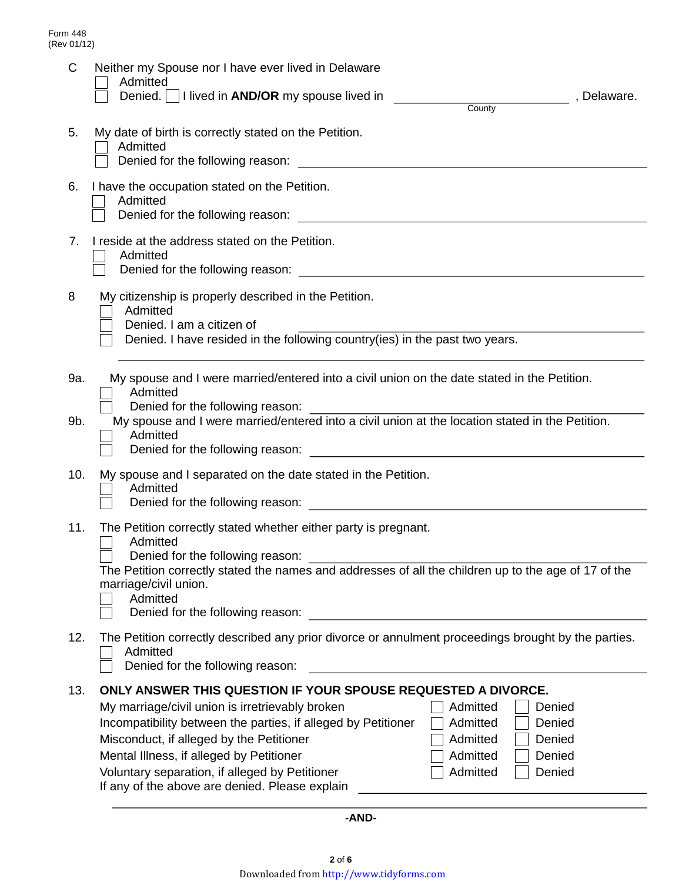| C          | Neither my Spouse nor I have ever lived in Delaware<br>Admitted<br>Denied.       lived in <b>AND/OR</b> my spouse lived in<br>, Delaware.<br><b>County</b>                                                                                                                                                                                                                                                                                                                                  |  |  |  |  |
|------------|---------------------------------------------------------------------------------------------------------------------------------------------------------------------------------------------------------------------------------------------------------------------------------------------------------------------------------------------------------------------------------------------------------------------------------------------------------------------------------------------|--|--|--|--|
| 5.         | My date of birth is correctly stated on the Petition.<br>Admitted<br>Denied for the following reason:                                                                                                                                                                                                                                                                                                                                                                                       |  |  |  |  |
| 6.         | I have the occupation stated on the Petition.<br>Admitted<br>Denied for the following reason: <u>contract and contract and contract and contract and contract and contract and contract and contract and contract and contract and contract and contract and contract and contract and contra</u>                                                                                                                                                                                           |  |  |  |  |
| 7.         | I reside at the address stated on the Petition.<br>Admitted<br>Denied for the following reason:<br><u> and the same and the same and the same and the same and the same and the same and the same and the same and the same and the same and the same and the same and the same and the same and</u>                                                                                                                                                                                        |  |  |  |  |
| 8          | My citizenship is properly described in the Petition.<br>Admitted<br>Denied. I am a citizen of<br>Denied. I have resided in the following country(ies) in the past two years.                                                                                                                                                                                                                                                                                                               |  |  |  |  |
| 9a.<br>9b. | My spouse and I were married/entered into a civil union on the date stated in the Petition.<br>Admitted<br>Denied for the following reason:<br>My spouse and I were married/entered into a civil union at the location stated in the Petition.<br>Admitted<br>Denied for the following reason:                                                                                                                                                                                              |  |  |  |  |
| 10.        | My spouse and I separated on the date stated in the Petition.<br>Admitted<br>Denied for the following reason:<br><u> 1980 - Jan Stein, amerikan besteman besteman besteman besteman besteman besteman besteman besteman besteman b</u>                                                                                                                                                                                                                                                      |  |  |  |  |
| 11.        | The Petition correctly stated whether either party is pregnant.<br>Admitted<br>Denied for the following reason:<br>The Petition correctly stated the names and addresses of all the children up to the age of 17 of the<br>marriage/civil union.<br>Admitted<br>Denied for the following reason:                                                                                                                                                                                            |  |  |  |  |
| 12.        | The Petition correctly described any prior divorce or annulment proceedings brought by the parties.<br>Admitted<br>Denied for the following reason:                                                                                                                                                                                                                                                                                                                                         |  |  |  |  |
| 13.        | ONLY ANSWER THIS QUESTION IF YOUR SPOUSE REQUESTED A DIVORCE.<br>My marriage/civil union is irretrievably broken<br>Admitted<br>Denied<br>Incompatibility between the parties, if alleged by Petitioner<br>Admitted<br>Denied<br>Misconduct, if alleged by the Petitioner<br>Denied<br>Admitted<br>Mental Illness, if alleged by Petitioner<br>Admitted<br>Denied<br>Voluntary separation, if alleged by Petitioner<br>Admitted<br>Denied<br>If any of the above are denied. Please explain |  |  |  |  |

**-AND-**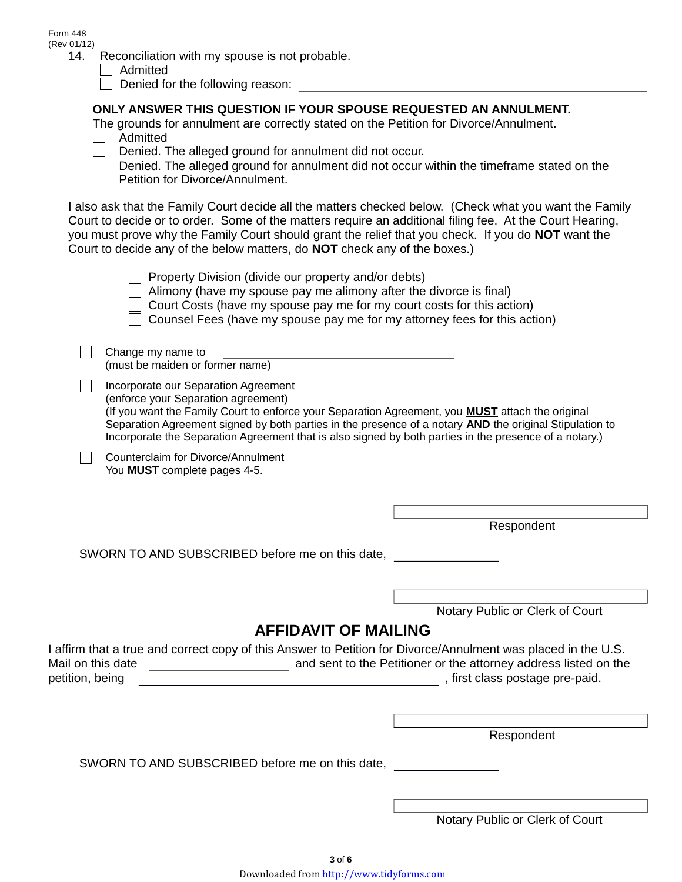Form 448 (Rev 01/12)

| 14. | Reconciliation with my spouse is not probable. |  |  |
|-----|------------------------------------------------|--|--|

Admitted

 $\Box$  Denied for the following reason:

### **ONLY ANSWER THIS QUESTION IF YOUR SPOUSE REQUESTED AN ANNULMENT.**

- The grounds for annulment are correctly stated on the Petition for Divorce/Annulment. Admitted
- 
- Denied. The alleged ground for annulment did not occur.

Denied. The alleged ground for annulment did not occur within the timeframe stated on the  $\Box$ Petition for Divorce/Annulment.

I also ask that the Family Court decide all the matters checked below. (Check what you want the Family Court to decide or to order. Some of the matters require an additional filing fee. At the Court Hearing, you must prove why the Family Court should grant the relief that you check. If you do **NOT** want the Court to decide any of the below matters, do **NOT** check any of the boxes.)

| Property Division (divide our property and/or debts)<br>Alimony (have my spouse pay me alimony after the divorce is final)<br>Court Costs (have my spouse pay me for my court costs for this action)<br>Counsel Fees (have my spouse pay me for my attorney fees for this action)                                                                                                                                  |                                 |  |  |
|--------------------------------------------------------------------------------------------------------------------------------------------------------------------------------------------------------------------------------------------------------------------------------------------------------------------------------------------------------------------------------------------------------------------|---------------------------------|--|--|
| Change my name to<br>(must be maiden or former name)                                                                                                                                                                                                                                                                                                                                                               |                                 |  |  |
| Incorporate our Separation Agreement<br>(enforce your Separation agreement)<br>(If you want the Family Court to enforce your Separation Agreement, you <b>MUST</b> attach the original<br>Separation Agreement signed by both parties in the presence of a notary <b>AND</b> the original Stipulation to<br>Incorporate the Separation Agreement that is also signed by both parties in the presence of a notary.) |                                 |  |  |
| Counterclaim for Divorce/Annulment<br>You MUST complete pages 4-5.                                                                                                                                                                                                                                                                                                                                                 |                                 |  |  |
|                                                                                                                                                                                                                                                                                                                                                                                                                    |                                 |  |  |
|                                                                                                                                                                                                                                                                                                                                                                                                                    | Respondent                      |  |  |
| SWORN TO AND SUBSCRIBED before me on this date,                                                                                                                                                                                                                                                                                                                                                                    |                                 |  |  |
|                                                                                                                                                                                                                                                                                                                                                                                                                    |                                 |  |  |
|                                                                                                                                                                                                                                                                                                                                                                                                                    | Notary Public or Clerk of Court |  |  |
| <b>AFFIDAVIT OF MAILING</b>                                                                                                                                                                                                                                                                                                                                                                                        |                                 |  |  |
| I affirm that a true and correct copy of this Answer to Petition for Divorce/Annulment was placed in the U.S.<br>and sent to the Petitioner or the attorney address listed on the<br>Mail on this date<br>, first class postage pre-paid.<br>petition, being                                                                                                                                                       |                                 |  |  |
|                                                                                                                                                                                                                                                                                                                                                                                                                    |                                 |  |  |

Respondent

SWORN TO AND SUBSCRIBED before me on this date,

Notary Public or Clerk of Court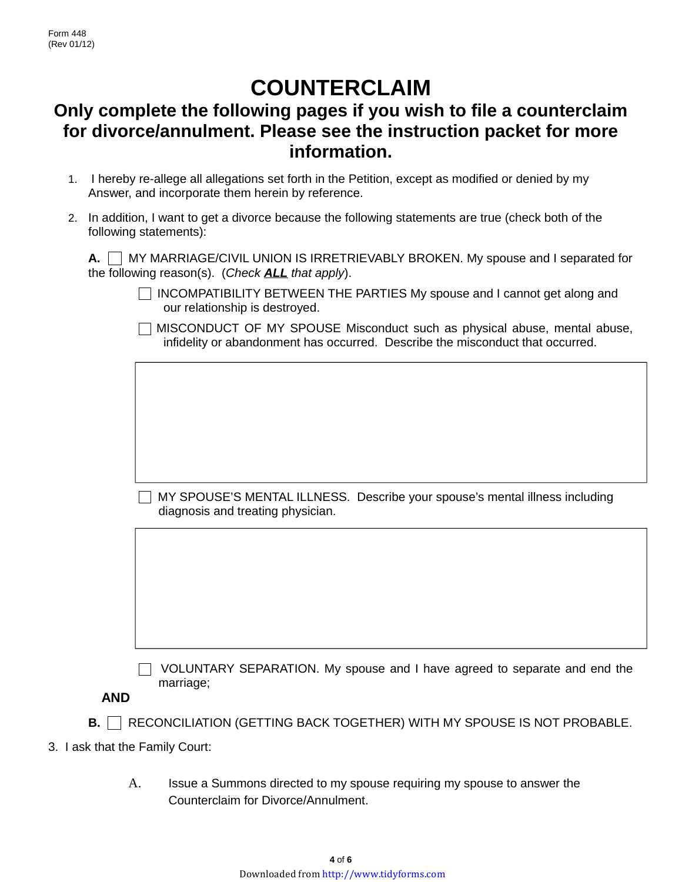## **COUNTERCLAIM**

## **Only complete the following pages if you wish to file a counterclaim for divorce/annulment. Please see the instruction packet for more information.**

- 1. I hereby re-allege all allegations set forth in the Petition, except as modified or denied by my Answer, and incorporate them herein by reference.
- 2. In addition, I want to get a divorce because the following statements are true (check both of the following statements):

**A.**  $\vert$  MY MARRIAGE/CIVIL UNION IS IRRETRIEVABLY BROKEN. My spouse and I separated for the following reason(s). (*Check ALL that apply*).

- $\Box$  INCOMPATIBILITY BETWEEN THE PARTIES My spouse and I cannot get along and our relationship is destroyed.
- $\Box$  MISCONDUCT OF MY SPOUSE Misconduct such as physical abuse, mental abuse, infidelity or abandonment has occurred. Describe the misconduct that occurred.

 $\Box$  MY SPOUSE'S MENTAL ILLNESS. Describe your spouse's mental illness including diagnosis and treating physician.

 $\Box$  VOLUNTARY SEPARATION. My spouse and I have agreed to separate and end the marriage;

**AND** 

- **B.** RECONCILIATION (GETTING BACK TOGETHER) WITH MY SPOUSE IS NOT PROBABLE.
- 3. I ask that the Family Court:
	- A. Issue a Summons directed to my spouse requiring my spouse to answer the Counterclaim for Divorce/Annulment.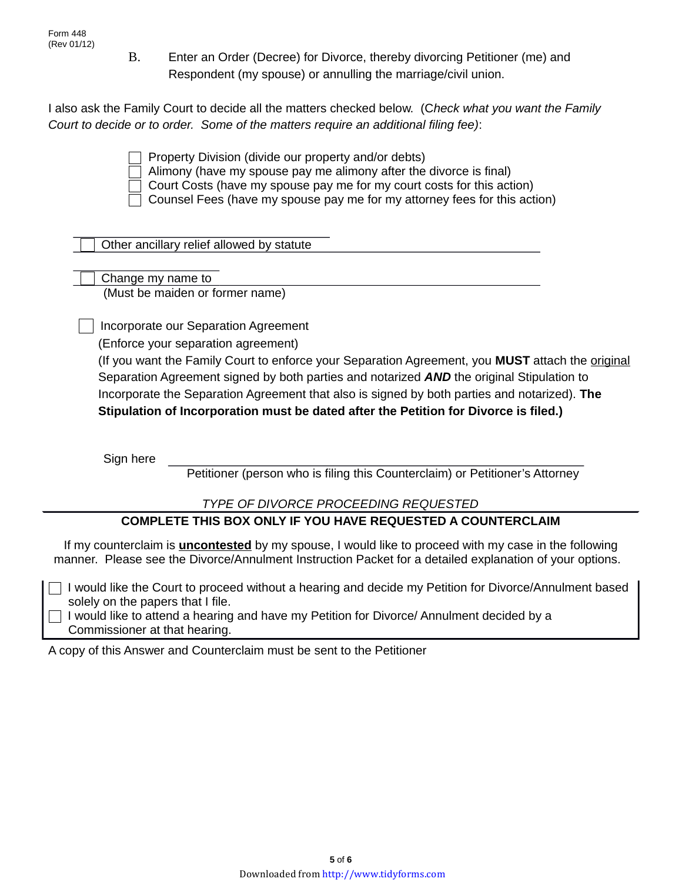B. Enter an Order (Decree) for Divorce, thereby divorcing Petitioner (me) and Respondent (my spouse) or annulling the marriage/civil union.

I also ask the Family Court to decide all the matters checked below. (C*heck what you want the Family Court to decide or to order. Some of the matters require an additional filing fee)*:

 $\Box$  Property Division (divide our property and/or debts)

Alimony (have my spouse pay me alimony after the divorce is final)

Court Costs (have my spouse pay me for my court costs for this action)

Counsel Fees (have my spouse pay me for my attorney fees for this action)

Other ancillary relief allowed by statute

 Change my name to (Must be maiden or former name)

Incorporate our Separation Agreement

(Enforce your separation agreement)

(If you want the Family Court to enforce your Separation Agreement, you **MUST** attach the original Separation Agreement signed by both parties and notarized *AND* the original Stipulation to Incorporate the Separation Agreement that also is signed by both parties and notarized). **The Stipulation of Incorporation must be dated after the Petition for Divorce is filed.)**

Sign here

Petitioner (person who is filing this Counterclaim) or Petitioner's Attorney

### *TYPE OF DIVORCE PROCEEDING REQUESTED*

### **COMPLETE THIS BOX ONLY IF YOU HAVE REQUESTED A COUNTERCLAIM**

If my counterclaim is **uncontested** by my spouse, I would like to proceed with my case in the following manner. Please see the Divorce/Annulment Instruction Packet for a detailed explanation of your options.

 $\Box$  I would like the Court to proceed without a hearing and decide my Petition for Divorce/Annulment based solely on the papers that I file.

 $\Box$  I would like to attend a hearing and have my Petition for Divorce/ Annulment decided by a Commissioner at that hearing.

A copy of this Answer and Counterclaim must be sent to the Petitioner